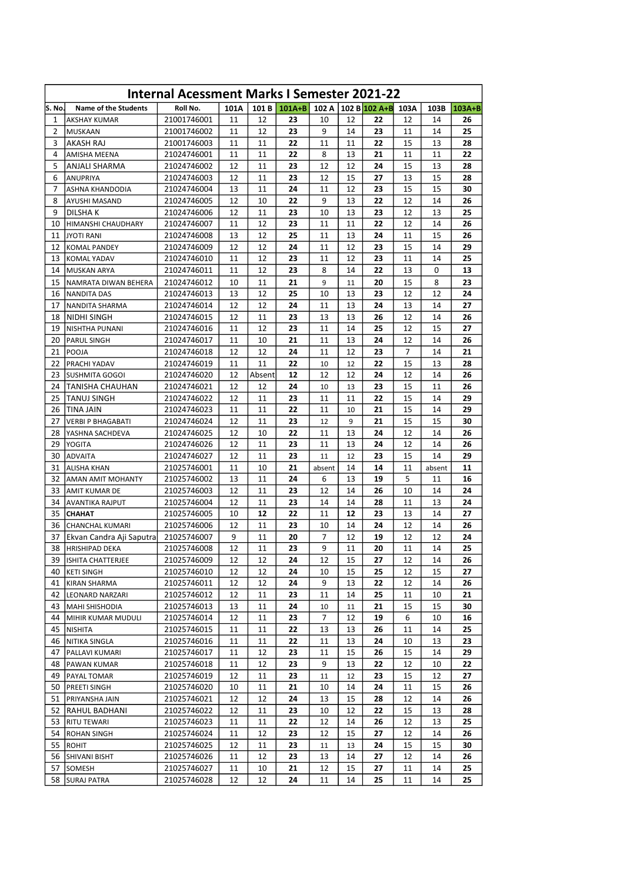| <b>Internal Acessment Marks I Semester 2021-22</b> |                                   |                            |          |          |                |         |          |                    |          |          |          |  |
|----------------------------------------------------|-----------------------------------|----------------------------|----------|----------|----------------|---------|----------|--------------------|----------|----------|----------|--|
| lS. No.                                            | <b>Name of the Students</b>       | Roll No.                   | 101A     |          | $101 B$ 101A+B | 102 A   |          | 102 B 102 A+B 103A |          | 103B     | $103A+B$ |  |
| $\mathbf{1}$                                       | <b>AKSHAY KUMAR</b>               | 21001746001                | 11       | 12       | 23             | 10      | 12       | 22                 | 12       | 14       | 26       |  |
| 2                                                  | MUSKAAN                           | 21001746002                | 11       | 12       | 23             | 9       | 14       | 23                 | 11       | 14       | 25       |  |
| 3                                                  | <b>AKASH RAJ</b>                  | 21001746003                | 11       | 11       | 22             | 11      | 11       | 22                 | 15       | 13       | 28       |  |
| 4                                                  | AMISHA MEENA                      | 21024746001                | 11       | 11       | 22             | 8       | 13       | 21                 | 11       | 11       | 22       |  |
| 5                                                  | ANJALI SHARMA                     | 21024746002                | 12       | 11       | 23             | 12      | 12       | 24                 | 15       | 13       | 28       |  |
| 6                                                  | <b>ANUPRIYA</b>                   | 21024746003                | 12       | 11       | 23             | 12      | 15       | 27                 | 13       | 15       | 28       |  |
| 7                                                  | ASHNA KHANDODIA                   | 21024746004                | 13       | 11       | 24             | 11      | 12       | 23                 | 15       | 15       | 30       |  |
| 8                                                  | AYUSHI MASAND                     | 21024746005                | 12       | 10       | 22             | 9       | 13       | 22                 | 12       | 14       | 26       |  |
| 9                                                  | <b>DILSHAK</b>                    | 21024746006                | 12       | 11       | 23             | 10      | 13       | 23                 | 12       | 13       | 25       |  |
| 10                                                 | HIMANSHI CHAUDHARY                | 21024746007                | 11       | 12       | 23             | 11      | 11       | 22                 | 12       | 14       | 26       |  |
| 11                                                 | <b>JYOTI RANI</b>                 | 21024746008                | 13       | 12       | 25             | 11      | 13       | 24                 | 11       | 15       | 26       |  |
| 12                                                 | <b>KOMAL PANDEY</b>               | 21024746009                | 12       | 12       | 24             | 11      | 12       | 23                 | 15       | 14       | 29       |  |
| 13                                                 | <b>KOMAL YADAV</b>                | 21024746010                | 11       | 12       | 23             | 11      | 12       | 23                 | 11       | 14       | 25       |  |
| 14                                                 | <b>MUSKAN ARYA</b>                | 21024746011                | 11       | 12       | 23             | 8       | 14       | 22                 | 13       | 0        | 13       |  |
| 15                                                 | NAMRATA DIWAN BEHERA              | 21024746012                | 10       | 11       | 21             | 9       | 11       | 20                 | 15       | 8        | 23       |  |
| 16                                                 | <b>NANDITA DAS</b>                | 21024746013                | 13       | 12       | 25             | 10      | 13       | 23                 | 12       | 12       | 24       |  |
| 17                                                 | NANDITA SHARMA                    | 21024746014                | 12       | 12       | 24             | 11      | 13       | 24                 | 13       | 14       | 27       |  |
| 18                                                 | NIDHI SINGH                       | 21024746015                | 12       | 11       | 23             | 13      | 13       | 26                 | 12       | 14       | 26       |  |
| 19                                                 | <b>NISHTHA PUNANI</b>             | 21024746016                | 11       | 12       | 23             | 11      | 14       | 25                 | 12       | 15       | 27       |  |
| 20                                                 | <b>PARUL SINGH</b>                | 21024746017                | 11       | 10       | 21             | 11      | 13       | 24                 | 12       | 14       | 26       |  |
| 21                                                 | POOJA                             | 21024746018                | 12       | 12       | 24             | 11      | 12       | 23                 | 7        | 14       | 21       |  |
| 22                                                 | PRACHI YADAV                      | 21024746019                | 11       | 11       | 22             | 10      | 12       | 22                 | 15       | 13       | 28       |  |
| 23                                                 | <b>SUSHMITA GOGOI</b>             | 21024746020                | 12       | Absent   | 12             | 12      | 12       | 24                 | 12       | 14       | 26       |  |
| 24                                                 | <b>TANISHA CHAUHAN</b>            | 21024746021                | 12       | 12       | 24             | 10      | 13       | 23                 | 15       | 11       | 26       |  |
| 25                                                 | <b>TANUJ SINGH</b>                | 21024746022                | 12       | 11       | 23             | 11      | 11       | 22                 | 15       | 14       | 29       |  |
| 26                                                 | TINA JAIN                         | 21024746023                | 11       | 11       | 22             | 11      | 10       | 21                 | 15       | 14       | 29       |  |
| 27                                                 | <b>VERBI P BHAGABATI</b>          | 21024746024                | 12       | 11       | 23             | 12      | 9        | 21                 | 15       | 15       | 30       |  |
| 28                                                 | YASHNA SACHDEVA                   | 21024746025                | 12       | 10       | 22             | 11      | 13       | 24                 | 12       | 14       | 26       |  |
| 29                                                 | YOGITA                            | 21024746026                | 12       | 11       | 23             | 11      | 13       | 24                 | 12       | 14       | 26       |  |
| 30                                                 | <b>ADVAITA</b>                    | 21024746027                | 12       | 11       | 23             | 11      | 12       | 23                 | 15       | 14       | 29       |  |
| 31                                                 | <b>ALISHA KHAN</b>                | 21025746001                | 11       | 10       | 21             | absent  | 14       | 14                 | 11       | absent   | 11       |  |
| 32                                                 | <b>AMAN AMIT MOHANTY</b>          | 21025746002                | 13       | 11       | 24             | 6       | 13       | 19                 | 5        | 11       | 16       |  |
| 33                                                 | AMIT KUMAR DE                     | 21025746003                | 12       | 11       | 23             | 12      | 14       | 26                 | 10       | 14       | 24       |  |
| 34                                                 | <b>AVANTIKA RAJPUT</b>            | 21025746004                | 12       | 11       | 23             | 14      | 14       | 28                 | 11       | 13       | 24       |  |
| 35                                                 | <b>CHAHAT</b>                     | 21025746005                | 10       | 12       | 22             | 11      | 12       | 23                 | 13       | 14       | 27       |  |
| 36                                                 | CHANCHAL KUMARI                   | 21025746006                | 12       | 11       | 23             | 10      | 14       | 24                 | 12       | 14       | 26       |  |
| 37                                                 | Ekvan Candra Aji Saputra          | 21025746007                | 9        | 11       | 20             | 7       | 12       | 19                 | 12       | 12       | 24       |  |
| 38                                                 | <b>HRISHIPAD DEKA</b>             | 21025746008                | 12       | 11       | 23             | 9       | 11       | 20                 | 11       | 14       | 25       |  |
| 39                                                 | <b>ISHITA CHATTERJEE</b>          | 21025746009                | 12       | 12       | 24             | 12      | 15       | 27                 | 12       | 14       | 26       |  |
| 40                                                 | <b>KETI SINGH</b>                 | 21025746010                | 12       | 12<br>12 | 24<br>24       | 10<br>9 | 15<br>13 | 25<br>22           | 12       | 15       | 27<br>26 |  |
| 41<br>42                                           | <b>KIRAN SHARMA</b>               | 21025746011<br>21025746012 | 12<br>12 | 11       | 23             | 11      | 14       | 25                 | 12<br>11 | 14<br>10 | 21       |  |
| 43                                                 | LEONARD NARZARI<br>MAHI SHISHODIA | 21025746013                | 13       | 11       | 24             | 10      | 11       | 21                 | 15       | 15       | 30       |  |
| 44                                                 | MIHIR KUMAR MUDULI                | 21025746014                | 12       | 11       | 23             | 7       | 12       | 19                 | 6        | 10       | 16       |  |
| 45                                                 | NISHITA                           | 21025746015                | 11       | 11       | 22             | 13      | 13       | 26                 | 11       | 14       | 25       |  |
| 46                                                 | NITIKA SINGLA                     | 21025746016                | 11       | 11       | 22             | 11      | 13       | 24                 | 10       | 13       | 23       |  |
| 47                                                 | PALLAVI KUMARI                    | 21025746017                | 11       | 12       | 23             | 11      | 15       | 26                 | 15       | 14       | 29       |  |
| 48                                                 | PAWAN KUMAR                       | 21025746018                | 11       | 12       | 23             | 9       | 13       | 22                 | 12       | 10       | 22       |  |
| 49                                                 | PAYAL TOMAR                       | 21025746019                | 12       | 11       | 23             | 11      | 12       | 23                 | 15       | 12       | 27       |  |
| 50                                                 | PREETI SINGH                      | 21025746020                | 10       | 11       | 21             | 10      | 14       | 24                 | 11       | 15       | 26       |  |
| 51                                                 | PRIYANSHA JAIN                    | 21025746021                | 12       | 12       | 24             | 13      | 15       | 28                 | 12       | 14       | 26       |  |
| 52                                                 | RAHUL BADHANI                     | 21025746022                | 12       | 11       | 23             | 10      | 12       | 22                 | 15       | 13       | 28       |  |
| 53                                                 | <b>RITU TEWARI</b>                | 21025746023                | 11       | 11       | 22             | 12      | 14       | 26                 | 12       | 13       | 25       |  |
| 54                                                 | <b>ROHAN SINGH</b>                | 21025746024                | 11       | 12       | 23             | 12      | 15       | 27                 | 12       | 14       | 26       |  |
| 55                                                 | <b>ROHIT</b>                      | 21025746025                | 12       | 11       | 23             | 11      | 13       | 24                 | 15       | 15       | 30       |  |
|                                                    | 56 SHIVANI BISHT                  | 21025746026                | 11       | 12       | 23             | 13      | 14       | 27                 | 12       | 14       | 26       |  |
|                                                    | 57 SOMESH                         | 21025746027                | 11       | 10       | 21             | 12      | 15       | 27                 | 11       | 14       | 25       |  |
| 58                                                 | <b>SURAJ PATRA</b>                | 21025746028                | 12       | 12       | 24             | 11      | 14       | 25                 | 11       | 14       | 25       |  |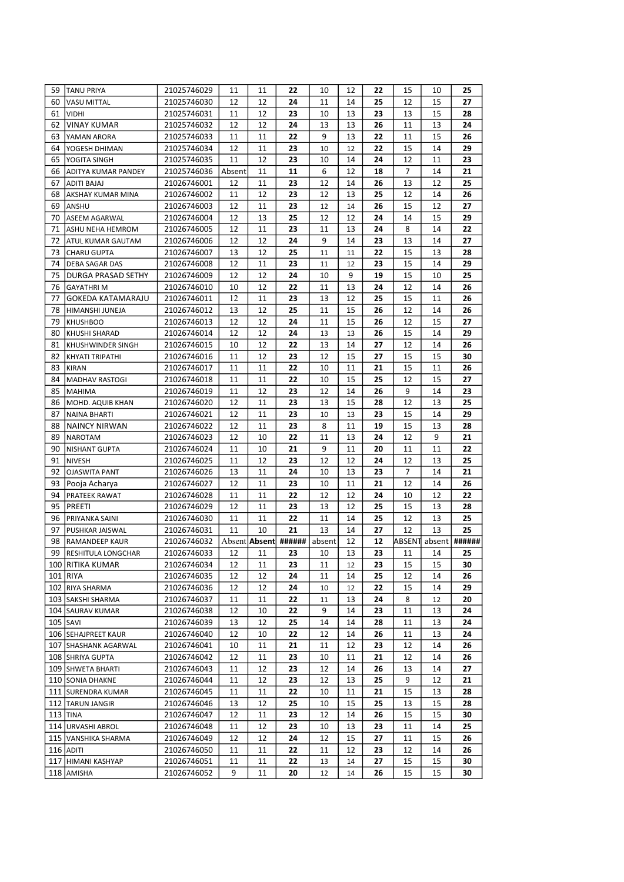| 59 | <b>TANU PRIYA</b>         | 21025746029 | 11     | 11              | 22     | 10     | 12 | 22              | 15     | 10            | 25     |
|----|---------------------------|-------------|--------|-----------------|--------|--------|----|-----------------|--------|---------------|--------|
| 60 | <b>VASU MITTAL</b>        | 21025746030 | 12     | 12              | 24     | 11     | 14 | 25              | 12     | 15            | 27     |
| 61 | <b>VIDHI</b>              | 21025746031 | 11     | 12              | 23     | 10     | 13 | 23              | 13     | 15            | 28     |
| 62 | <b>VINAY KUMAR</b>        | 21025746032 | 12     | 12              | 24     | 13     | 13 | 26              | 11     | 13            | 24     |
| 63 | YAMAN ARORA               | 21025746033 | 11     | 11              | 22     | 9      | 13 | 22              | 11     | 15            | 26     |
| 64 | YOGESH DHIMAN             | 21025746034 | 12     | 11              | 23     | 10     | 12 | 22              | 15     | 14            | 29     |
| 65 | YOGITA SINGH              | 21025746035 | 11     | 12              | 23     | 10     | 14 | 24              | 12     | 11            | 23     |
| 66 | ADITYA KUMAR PANDEY       | 21025746036 | Absent | 11              | 11     | 6      | 12 | 18              | 7      | 14            | 21     |
| 67 | ADITI BAJAJ               | 21026746001 | 12     | 11              | 23     | 12     | 14 | 26              | 13     | 12            | 25     |
| 68 | AKSHAY KUMAR MINA         | 21026746002 | 11     | 12              | 23     | 12     | 13 | 25              | 12     | 14            | 26     |
| 69 | ANSHU                     | 21026746003 | 12     | 11              | 23     | 12     | 14 | 26              | 15     | 12            | 27     |
| 70 | <b>ASEEM AGARWAL</b>      | 21026746004 | 12     | 13              | 25     | 12     | 12 | 24              | 14     | 15            | 29     |
| 71 | <b>ASHU NEHA HEMROM</b>   | 21026746005 | 12     | 11              | 23     | 11     | 13 | 24              | 8      | 14            | 22     |
| 72 | ATUL KUMAR GAUTAM         | 21026746006 | 12     | 12              | 24     | 9      | 14 | 23              | 13     | 14            | 27     |
| 73 |                           |             | 13     | 12              | 25     |        |    | 22              | 15     | 13            | 28     |
|    | <b>CHARU GUPTA</b>        | 21026746007 |        |                 |        | 11     | 11 |                 |        |               |        |
| 74 | <b>DEBA SAGAR DAS</b>     | 21026746008 | 12     | 11              | 23     | 11     | 12 | 23              | 15     | 14            | 29     |
| 75 | <b>DURGA PRASAD SETHY</b> | 21026746009 | 12     | 12              | 24     | 10     | 9  | 19              | 15     | 10            | 25     |
| 76 | <b>GAYATHRIM</b>          | 21026746010 | 10     | 12              | 22     | 11     | 13 | 24              | 12     | 14            | 26     |
| 77 | <b>GOKEDA KATAMARAJU</b>  | 21026746011 | 12     | 11              | 23     | 13     | 12 | 25              | 15     | 11            | 26     |
| 78 | HIMANSHI JUNEJA           | 21026746012 | 13     | 12              | 25     | 11     | 15 | 26              | 12     | 14            | 26     |
| 79 | <b>KHUSHBOO</b>           | 21026746013 | 12     | 12              | 24     | 11     | 15 | 26              | 12     | 15            | 27     |
| 80 | <b>KHUSHI SHARAD</b>      | 21026746014 | 12     | 12              | 24     | 13     | 13 | 26              | 15     | 14            | 29     |
| 81 | KHUSHWINDER SINGH         | 21026746015 | 10     | 12              | 22     | 13     | 14 | 27              | 12     | 14            | 26     |
| 82 | KHYATI TRIPATHI           | 21026746016 | 11     | 12              | 23     | 12     | 15 | 27              | 15     | 15            | 30     |
| 83 | <b>KIRAN</b>              | 21026746017 | 11     | 11              | 22     | 10     | 11 | 21              | 15     | 11            | 26     |
| 84 | <b>MADHAV RASTOGI</b>     | 21026746018 | 11     | 11              | 22     | 10     | 15 | 25              | 12     | 15            | 27     |
| 85 | <b>MAHIMA</b>             | 21026746019 | 11     | 12              | 23     | 12     | 14 | 26              | 9      | 14            | 23     |
| 86 | MOHD. AQUIB KHAN          | 21026746020 | 12     | 11              | 23     | 13     | 15 | 28              | 12     | 13            | 25     |
| 87 | <b>NAINA BHARTI</b>       | 21026746021 | 12     | 11              | 23     | 10     | 13 | 23              | 15     | 14            | 29     |
| 88 | <b>NAINCY NIRWAN</b>      | 21026746022 | 12     | 11              | 23     | 8      | 11 | 19              | 15     | 13            | 28     |
| 89 | <b>NAROTAM</b>            | 21026746023 | 12     | 10              | 22     | 11     | 13 | 24              | 12     | 9             | 21     |
| 90 | <b>NISHANT GUPTA</b>      | 21026746024 | 11     | 10              | 21     | 9      | 11 | 20              | 11     | 11            | 22     |
| 91 | <b>NIVESH</b>             | 21026746025 | 11     | 12              | 23     | 12     | 12 | 24              | 12     | 13            | 25     |
| 92 | <b>OJASWITA PANT</b>      | 21026746026 | 13     | 11              | 24     | 10     | 13 | 23              | 7      | 14            | 21     |
| 93 | Pooja Acharya             | 21026746027 | 12     | 11              | 23     | 10     | 11 | 21              | 12     | 14            | 26     |
| 94 | <b>PRATEEK RAWAT</b>      |             | 11     | 11              | 22     | 12     | 12 | 24              | 10     | 12            | 22     |
|    |                           | 21026746028 |        | 11              |        |        |    | 25              |        | 13            |        |
| 95 | <b>PREETI</b>             | 21026746029 | 12     |                 | 23     | 13     | 12 |                 | 15     |               | 28     |
| 96 | PRIYANKA SAINI            | 21026746030 | 11     | 11              | 22     | 11     | 14 | 25              | 12     | 13            | 25     |
| 97 | PUSHKAR JAISWAL           | 21026746031 | 11     | 10              | 21     | 13     | 14 | 27              | 12     | 13            | 25     |
| 98 | <b>RAMANDEEP KAUR</b>     | 21026746032 |        | Absent   Absent | ###### | absent | 12 | 12              |        | ABSENT absent | ###### |
|    | 99 RESHITULA LONGCHAR     | 21026746033 | 12     | $11\,$          | 23     | $10\,$ | 13 | $\overline{23}$ | $11\,$ | 14            | 25     |
|    | 100 RITIKA KUMAR          | 21026746034 | 12     | 11              | 23     | 11     | 12 | 23              | 15     | 15            | 30     |
|    | 101   RIYA                | 21026746035 | 12     | 12              | 24     | 11     | 14 | 25              | 12     | 14            | 26     |
|    | 102 RIYA SHARMA           | 21026746036 | 12     | 12              | 24     | 10     | 12 | 22              | 15     | 14            | 29     |
|    | 103 SAKSHI SHARMA         | 21026746037 | 11     | 11              | 22     | 11     | 13 | 24              | 8      | 12            | 20     |
|    | 104 SAURAV KUMAR          | 21026746038 | 12     | 10              | 22     | 9      | 14 | 23              | 11     | 13            | 24     |
|    | $105$ SAVI                | 21026746039 | 13     | 12              | 25     | 14     | 14 | 28              | 11     | 13            | 24     |
|    | 106 SEHAJPREET KAUR       | 21026746040 | 12     | 10              | 22     | 12     | 14 | 26              | 11     | 13            | 24     |
|    | 107 SHASHANK AGARWAL      | 21026746041 | 10     | 11              | 21     | 11     | 12 | 23              | 12     | 14            | 26     |
|    | 108 SHRIYA GUPTA          | 21026746042 | 12     | 11              | 23     | 10     | 11 | 21              | 12     | 14            | 26     |
|    | 109 SHWETA BHARTI         | 21026746043 | 11     | 12              | 23     | 12     | 14 | 26              | 13     | 14            | 27     |
|    | 110 SONIA DHAKNE          | 21026746044 | 11     | 12              | 23     | 12     | 13 | 25              | 9      | 12            | 21     |
|    | 111 SURENDRA KUMAR        | 21026746045 | 11     | 11              | 22     | 10     | 11 | 21              | 15     | 13            | 28     |
|    | 112 TARUN JANGIR          | 21026746046 | 13     | 12              | 25     | 10     | 15 | 25              | 13     | 15            | 28     |
|    | 113 TINA                  | 21026746047 | 12     | 11              | 23     | 12     | 14 | 26              | 15     | 15            | 30     |
|    | 114 URVASHI ABROL         | 21026746048 | 11     | 12              | 23     | 10     | 13 | 23              | 11     | 14            | 25     |
|    | 115 VANSHIKA SHARMA       | 21026746049 | 12     | 12              | 24     | 12     | 15 | 27              | 11     | 15            | 26     |
|    | 116 ADITI                 | 21026746050 | 11     | 11              | 22     | 11     | 12 | 23              | 12     | 14            | 26     |
|    |                           | 21026746051 |        |                 |        |        | 14 |                 |        |               | 30     |
|    | 117 HIMANI KASHYAP        |             | 11     | 11              | 22     | 13     |    | 27              | 15     | 15            |        |
|    | 118 AMISHA                | 21026746052 | 9      | 11              | 20     | 12     | 14 | 26              | 15     | 15            | 30     |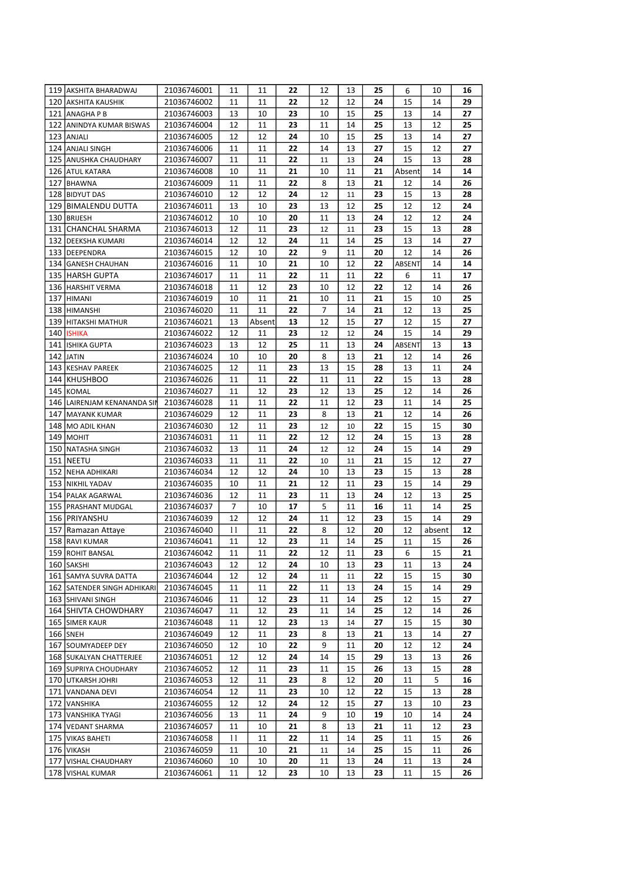|     | 119 AKSHITA BHARADWAJ       | 21036746001 | 11     | 11              | 22              | 12              | 13 | 25              | 6      | 10              | 16 |
|-----|-----------------------------|-------------|--------|-----------------|-----------------|-----------------|----|-----------------|--------|-----------------|----|
|     | 120 AKSHITA KAUSHIK         | 21036746002 | 11     | 11              | 22              | 12              | 12 | 24              | 15     | 14              | 29 |
|     | 121 ANAGHAPB                | 21036746003 | 13     | 10              | 23              | 10              | 15 | 25              | 13     | 14              | 27 |
|     | 122 ANINDYA KUMAR BISWAS    | 21036746004 | 12     | 11              | 23              | 11              | 14 | 25              | 13     | 12              | 25 |
|     | 123 ANJALI                  | 21036746005 | 12     | 12              | 24              | 10              | 15 | 25              | 13     | 14              | 27 |
|     | 124 ANJALI SINGH            | 21036746006 | 11     | 11              | 22              | 14              | 13 | 27              | 15     | 12              | 27 |
|     | 125 ANUSHKA CHAUDHARY       | 21036746007 | 11     | 11              | 22              | 11              | 13 | 24              | 15     | 13              | 28 |
|     | 126 ATUL KATARA             | 21036746008 | 10     | 11              | 21              | 10              | 11 | 21              | Absent | 14              | 14 |
|     | 127 BHAWNA                  | 21036746009 | 11     | 11              | 22              | 8               | 13 | 21              | 12     | 14              | 26 |
|     | 128 BIDYUT DAS              | 21036746010 | 12     | 12              | 24              | 12              | 11 | 23              | 15     | 13              | 28 |
|     | 129 BIMALENDU DUTTA         |             |        |                 |                 |                 |    |                 |        |                 | 24 |
|     |                             | 21036746011 | 13     | 10              | 23              | 13              | 12 | 25              | 12     | 12              |    |
|     | 130 BRIJESH                 | 21036746012 | 10     | 10              | 20              | 11              | 13 | 24              | 12     | 12              | 24 |
|     | 131 CHANCHAL SHARMA         | 21036746013 | 12     | 11              | 23              | 12              | 11 | 23              | 15     | 13              | 28 |
|     | 132 DEEKSHA KUMARI          | 21036746014 | 12     | 12              | 24              | 11              | 14 | 25              | 13     | 14              | 27 |
|     | 133 DEEPENDRA               | 21036746015 | 12     | 10              | 22              | 9               | 11 | 20              | 12     | 14              | 26 |
|     | 134 GANESH CHAUHAN          | 21036746016 | 11     | 10              | 21              | 10              | 12 | 22              | ABSENT | 14              | 14 |
|     | 135 HARSH GUPTA             | 21036746017 | 11     | 11              | 22              | 11              | 11 | 22              | 6      | 11              | 17 |
|     | 136 HARSHIT VERMA           | 21036746018 | 11     | 12              | 23              | 10              | 12 | 22              | 12     | 14              | 26 |
| 137 | HIMANI                      | 21036746019 | 10     | 11              | 21              | 10              | 11 | 21              | 15     | 10              | 25 |
|     | 138 HIMANSHI                | 21036746020 | 11     | 11              | 22              | 7               | 14 | 21              | 12     | 13              | 25 |
|     | 139 HITAKSHI MATHUR         | 21036746021 | 13     | Absent          | 13              | 12              | 15 | 27              | 12     | 15              | 27 |
|     | 140 ISHIKA                  | 21036746022 | 12     | 11              | 23              | 12              | 12 | 24              | 15     | 14              | 29 |
|     | 141 ISHIKA GUPTA            | 21036746023 | 13     | 12              | 25              | 11              | 13 | 24              | ABSENT | 13              | 13 |
|     | 142 JATIN                   | 21036746024 | 10     | 10              | 20              | 8               | 13 | 21              | 12     | 14              | 26 |
|     | 143 KESHAV PAREEK           | 21036746025 | 12     | 11              | 23              | 13              | 15 | 28              | 13     | 11              | 24 |
|     | 144 KHUSHBOO                | 21036746026 | 11     | 11              | 22              | 11              | 11 | 22              | 15     | 13              | 28 |
|     | 145 KOMAL                   |             |        | 12              |                 | 12              |    | 25              |        | 14              | 26 |
|     |                             | 21036746027 | 11     |                 | 23              |                 | 13 | 23              | 12     |                 |    |
|     | 146 LAIRENJAM KENANANDA SIN | 21036746028 | 11     | 11              | 22              | 11              | 12 |                 | 11     | 14              | 25 |
|     | 147 MAYANK KUMAR            | 21036746029 | 12     | 11              | 23              | 8               | 13 | 21              | 12     | 14              | 26 |
|     | 148   MO ADIL KHAN          | 21036746030 | 12     | 11              | 23              | 12              | 10 | 22              | 15     | 15              | 30 |
| 149 | <b>MOHIT</b>                | 21036746031 | 11     | 11              | 22              | 12              | 12 | 24              | 15     | 13              | 28 |
|     | 150 NATASHA SINGH           | 21036746032 | 13     | 11              | 24              | 12              | 12 | 24              | 15     | 14              | 29 |
|     | 151 NEETU                   | 21036746033 | 11     | 11              | 22              | 10              | 11 | 21              | 15     | 12              | 27 |
|     | 152 NEHA ADHIKARI           | 21036746034 | 12     | 12              | 24              | 10              | 13 | 23              | 15     | 13              | 28 |
|     | 153 NIKHIL YADAV            | 21036746035 | 10     | 11              | 21              | 12              | 11 | 23              | 15     | 14              | 29 |
|     | 154 PALAK AGARWAL           | 21036746036 | 12     | 11              | 23              | 11              | 13 | 24              | 12     | 13              | 25 |
| 155 | <b>PRASHANT MUDGAL</b>      | 21036746037 | 7      | 10              | 17              | 5               | 11 | 16              | 11     | 14              | 25 |
|     | 156   PRIYANSHU             | 21036746039 | 12     | 12              | 24              | 11              | 12 | 23              | 15     | 14              | 29 |
|     | 157 Ramazan Attaye          | 21036746040 | 11     | 11              | 22              | 8               | 12 | 20              | 12     | absent          | 12 |
|     | 158 RAVI KUMAR              | 21036746041 | 11     | 12              | 23              | 11              | 14 | 25              | 11     | 15              | 26 |
|     | 159 ROHIT BANSAL            | 21036746042 | $11\,$ | $\overline{11}$ | $\overline{22}$ | $\overline{12}$ | 11 | $\overline{23}$ | 6      | $\overline{15}$ | 21 |
|     | 160   SAKSHI                | 21036746043 | 12     | 12              | 24              | 10              | 13 | 23              | 11     | 13              | 24 |
|     | 161 SAMYA SUVRA DATTA       | 21036746044 | 12     | 12              | 24              | 11              | 11 | 22              | 15     | 15              | 30 |
|     | 162 SATENDER SINGH ADHIKARI | 21036746045 | 11     | 11              | 22              | 11              | 13 | 24              | 15     | 14              | 29 |
|     |                             |             |        |                 |                 |                 |    |                 |        |                 |    |
|     | 163 SHIVANI SINGH           | 21036746046 | 11     | 12              | 23              | 11              | 14 | 25              | 12     | 15              | 27 |
|     | 164 SHIVTA CHOWDHARY        | 21036746047 | 11     | 12              | 23              | 11              | 14 | 25              | 12     | 14              | 26 |
|     | 165 SIMER KAUR              | 21036746048 | 11     | 12              | 23              | 13              | 14 | 27              | 15     | 15              | 30 |
|     | 166 SNEH                    | 21036746049 | 12     | 11              | 23              | 8               | 13 | 21              | 13     | 14              | 27 |
|     | 167 SOUMYADEEP DEY          | 21036746050 | 12     | 10              | 22              | 9               | 11 | 20              | 12     | 12              | 24 |
|     | 168 SUKALYAN CHATTERJEE     | 21036746051 | 12     | 12              | 24              | 14              | 15 | 29              | 13     | 13              | 26 |
|     | 169 SUPRIYA CHOUDHARY       | 21036746052 | 12     | 11              | 23              | 11              | 15 | 26              | 13     | 15              | 28 |
|     | 170 UTKARSH JOHRI           | 21036746053 | 12     | 11              | 23              | 8               | 12 | 20              | 11     | 5               | 16 |
|     | 171 VANDANA DEVI            | 21036746054 | 12     | 11              | 23              | 10              | 12 | 22              | 15     | 13              | 28 |
|     | 172 VANSHIKA                | 21036746055 | 12     | 12              | 24              | 12              | 15 | 27              | 13     | 10              | 23 |
|     | 173 VANSHIKA TYAGI          | 21036746056 | 13     | 11              | 24              | 9               | 10 | 19              | 10     | 14              | 24 |
|     | 174   VEDANT SHARMA         | 21036746057 | 11     | 10              | 21              | 8               | 13 | 21              | 11     | 12              | 23 |
|     | 175 VIKAS BAHETI            | 21036746058 | 11     | 11              | 22              | 11              | 14 | 25              | 11     | 15              | 26 |
|     | 176 VIKASH                  | 21036746059 | 11     | 10              | 21              | 11              | 14 | 25              | 15     | 11              | 26 |
|     | 177   VISHAL CHAUDHARY      | 21036746060 | 10     | 10              | 20              | 11              | 13 | 24              | 11     | 13              | 24 |
|     | 178 VISHAL KUMAR            | 21036746061 | 11     | 12              | 23              | 10              | 13 | 23              | 11     | 15              | 26 |
|     |                             |             |        |                 |                 |                 |    |                 |        |                 |    |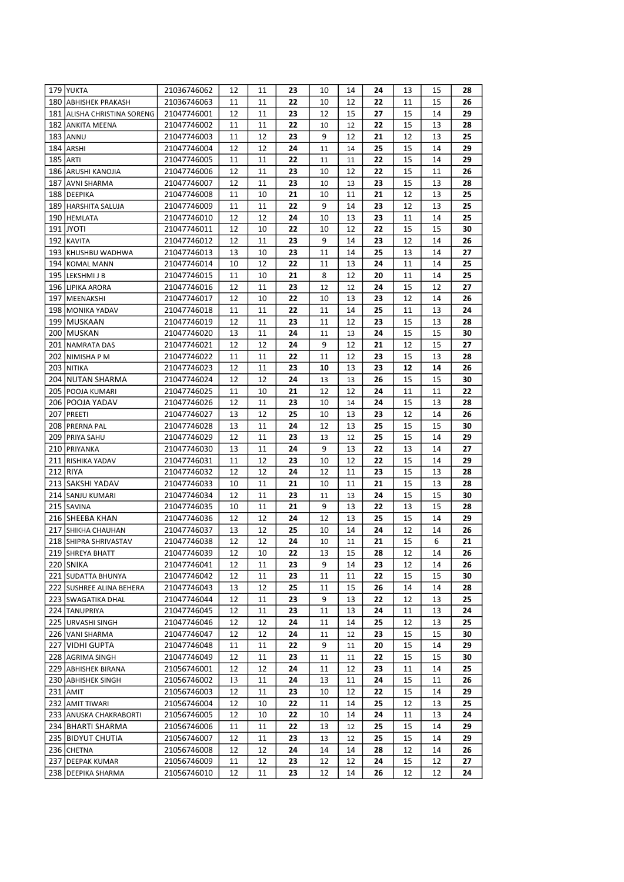| 179 YUKTA                     | 21036746062 | 12     | 11     | 23 | 10 | 14 | 24              | 13 | 15 | 28 |
|-------------------------------|-------------|--------|--------|----|----|----|-----------------|----|----|----|
| 180 ABHISHEK PRAKASH          | 21036746063 | 11     | 11     | 22 | 10 | 12 | 22              | 11 | 15 | 26 |
| 181   ALISHA CHRISTINA SORENG | 21047746001 | 12     | 11     | 23 | 12 | 15 | 27              | 15 | 14 | 29 |
| 182 ANKITA MEENA              | 21047746002 | 11     | 11     | 22 | 10 | 12 | 22              | 15 | 13 | 28 |
| <b>183 ANNU</b>               | 21047746003 | 11     | 12     | 23 | 9  | 12 | 21              | 12 | 13 | 25 |
| 184 ARSHI                     | 21047746004 | 12     | 12     | 24 | 11 | 14 | 25              | 15 | 14 | 29 |
| <b>185 ARTI</b>               | 21047746005 | 11     | 11     | 22 | 11 | 11 | 22              | 15 | 14 | 29 |
| 186 ARUSHI KANOJIA            | 21047746006 | 12     | 11     | 23 | 10 | 12 | 22              | 15 | 11 | 26 |
| 187 AVNI SHARMA               | 21047746007 | 12     | 11     | 23 | 10 | 13 | 23              | 15 | 13 | 28 |
| 188 DEEPIKA                   | 21047746008 | 11     | 10     | 21 | 10 | 11 | 21              | 12 | 13 | 25 |
| 189 HARSHITA SALUJA           | 21047746009 | 11     | 11     | 22 | 9  | 14 | 23              | 12 | 13 | 25 |
| 190   HEMLATA                 | 21047746010 | 12     | 12     | 24 | 10 | 13 | 23              | 11 | 14 | 25 |
| 191 JYOTI                     | 21047746011 | 12     | 10     | 22 | 10 | 12 | 22              | 15 | 15 | 30 |
| 192 KAVITA                    | 21047746012 | 12     | 11     | 23 | 9  | 14 | 23              | 12 | 14 | 26 |
| 193 KHUSHBU WADHWA            | 21047746013 | 13     | 10     | 23 | 11 | 14 | 25              | 13 | 14 | 27 |
| 194 KOMAL MANN                | 21047746014 | 10     | 12     | 22 | 11 | 13 | 24              | 11 | 14 | 25 |
| 195 LEKSHMIJB                 | 21047746015 | 11     | 10     | 21 | 8  | 12 | 20              | 11 | 14 | 25 |
| 196 LIPIKA ARORA              | 21047746016 | 12     | 11     | 23 | 12 | 12 | 24              | 15 | 12 | 27 |
| 197 MEENAKSHI                 | 21047746017 | 12     | 10     | 22 | 10 | 13 | 23              | 12 | 14 | 26 |
| 198 MONIKA YADAV              | 21047746018 | 11     | 11     | 22 | 11 | 14 | 25              | 11 | 13 | 24 |
| 199   MUSKAAN                 | 21047746019 | 12     | 11     | 23 | 11 | 12 | 23              | 15 | 13 | 28 |
| 200 MUSKAN                    | 21047746020 | 13     | 11     | 24 | 11 | 13 | 24              | 15 | 15 | 30 |
| 201 NAMRATA DAS               | 21047746021 | 12     | 12     | 24 | 9  | 12 | 21              | 12 | 15 | 27 |
| 202   NIMISHA P M             | 21047746022 | 11     | 11     | 22 | 11 | 12 | 23              | 15 | 13 | 28 |
| 203 NITIKA                    | 21047746023 | 12     | 11     | 23 | 10 | 13 | 23              | 12 | 14 | 26 |
| 204 NUTAN SHARMA              | 21047746024 | 12     | 12     | 24 |    |    | 26              | 15 | 15 | 30 |
|                               |             |        |        |    | 13 | 13 |                 |    |    |    |
| 205 POOJA KUMARI              | 21047746025 | 11     | 10     | 21 | 12 | 12 | 24              | 11 | 11 | 22 |
| 206   POOJA YADAV             | 21047746026 | 12     | 11     | 23 | 10 | 14 | 24              | 15 | 13 | 28 |
| 207 PREETI                    | 21047746027 | 13     | 12     | 25 | 10 | 13 | 23              | 12 | 14 | 26 |
| 208 PRERNA PAL                | 21047746028 | 13     | 11     | 24 | 12 | 13 | 25              | 15 | 15 | 30 |
| 209 PRIYA SAHU                | 21047746029 | 12     | 11     | 23 | 13 | 12 | 25              | 15 | 14 | 29 |
| 210 PRIYANKA                  | 21047746030 | 13     | 11     | 24 | 9  | 13 | 22              | 13 | 14 | 27 |
| 211 RISHIKA YADAV             | 21047746031 | 11     | 12     | 23 | 10 | 12 | 22              | 15 | 14 | 29 |
| 212 RIYA                      | 21047746032 | 12     | 12     | 24 | 12 | 11 | 23              | 15 | 13 | 28 |
| 213 SAKSHI YADAV              | 21047746033 | 10     | 11     | 21 | 10 | 11 | 21              | 15 | 13 | 28 |
| 214 SANJU KUMARI              | 21047746034 | 12     | 11     | 23 | 11 | 13 | 24              | 15 | 15 | 30 |
| 215 SAVINA                    | 21047746035 | 10     | 11     | 21 | 9  | 13 | 22              | 13 | 15 | 28 |
| 216 SHEEBA KHAN               | 21047746036 | 12     | 12     | 24 | 12 | 13 | 25              | 15 | 14 | 29 |
| 217 SHIKHA CHAUHAN            | 21047746037 | 13     | 12     | 25 | 10 | 14 | 24              | 12 | 14 | 26 |
| 218 SHIPRA SHRIVASTAV         | 21047746038 | 12     | 12     | 24 | 10 | 11 | 21              | 15 | 6  | 21 |
| 219 SHREYA BHATT              | 21047746039 | $12\,$ | $10\,$ | 22 | 13 | 15 | $\overline{28}$ | 12 | 14 | 26 |
| 220 SNIKA                     | 21047746041 | 12     | 11     | 23 | 9  | 14 | 23              | 12 | 14 | 26 |
| 221 SUDATTA BHUNYA            | 21047746042 | 12     | 11     | 23 | 11 | 11 | 22              | 15 | 15 | 30 |
| 222 SUSHREE ALINA BEHERA      | 21047746043 | 13     | 12     | 25 | 11 | 15 | 26              | 14 | 14 | 28 |
| 223 SWAGATIKA DHAL            | 21047746044 | 12     | 11     | 23 | 9  | 13 | 22              | 12 | 13 | 25 |
| 224 TANUPRIYA                 | 21047746045 | 12     | 11     | 23 | 11 | 13 | 24              | 11 | 13 | 24 |
| 225 URVASHI SINGH             | 21047746046 | 12     | 12     | 24 | 11 | 14 | 25              | 12 | 13 | 25 |
| 226 VANI SHARMA               | 21047746047 | 12     | 12     | 24 | 11 | 12 | 23              | 15 | 15 | 30 |
| 227   VIDHI GUPTA             | 21047746048 | 11     | 11     | 22 | 9  | 11 | 20              | 15 | 14 | 29 |
| 228 AGRIMA SINGH              | 21047746049 | 12     | 11     | 23 | 11 | 11 | 22              | 15 | 15 | 30 |
| 229 ABHISHEK BIRANA           | 21056746001 | 12     | 12     | 24 | 11 | 12 | 23              | 11 | 14 | 25 |
| 230 ABHISHEK SINGH            | 21056746002 | 13     | 11     | 24 | 13 | 11 | 24              | 15 | 11 | 26 |
| 231   AMIT                    | 21056746003 | 12     | 11     | 23 | 10 | 12 | 22              | 15 | 14 | 29 |
| 232 AMIT TIWARI               | 21056746004 | 12     | 10     | 22 | 11 | 14 | 25              | 12 | 13 | 25 |
| 233 ANUSKA CHAKRABORTI        | 21056746005 | 12     | 10     | 22 | 10 | 14 | 24              | 11 | 13 | 24 |
| 234   BHARTI SHARMA           | 21056746006 | 11     | 11     | 22 | 13 | 12 | 25              | 15 | 14 | 29 |
| 235 BIDYUT CHUTIA             | 21056746007 | 12     | 11     | 23 | 13 | 12 | 25              | 15 | 14 | 29 |
| 236 CHETNA                    | 21056746008 | 12     | 12     | 24 | 14 | 14 | 28              | 12 | 14 | 26 |
| 237 DEEPAK KUMAR              | 21056746009 | 11     | 12     | 23 | 12 | 12 | 24              | 15 | 12 | 27 |
| 238 DEEPIKA SHARMA            | 21056746010 | 12     | 11     | 23 | 12 | 14 | 26              | 12 | 12 | 24 |
|                               |             |        |        |    |    |    |                 |    |    |    |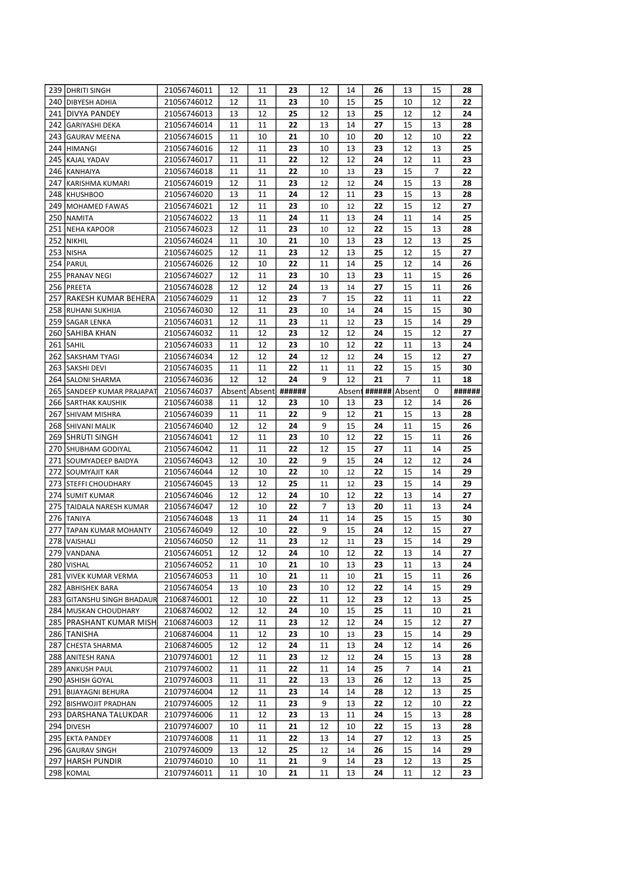|     | 239   DHRITI SINGH            | 21056746011                | 12       | 11            | 23       | 12             | 14       | 26              | 13       | 15       | 28       |
|-----|-------------------------------|----------------------------|----------|---------------|----------|----------------|----------|-----------------|----------|----------|----------|
|     | 240 DIBYESH ADHIA             | 21056746012                | 12       | 11            | 23       | 10             | 15       | 25              | 10       | 12       | 22       |
|     | 241 DIVYA PANDEY              | 21056746013                | 13       | 12            | 25       | 12             | 13       | 25              | 12       | 12       | 24       |
|     | 242 GARIYASHI DEKA            | 21056746014                | 11       | 11            | 22       | 13             | 14       | 27              | 15       | 13       | 28       |
|     | 243 GAURAV MEENA              | 21056746015                | 11       | 10            | 21       | 10             | 10       | 20              | 12       | 10       | 22       |
| 244 | HIMANGI                       | 21056746016                | 12       | 11            | 23       | 10             | 13       | 23              | 12       | 13       | 25       |
| 245 | <b>KAJAL YADAV</b>            | 21056746017                | 11       | 11            | 22       | 12             | 12       | 24              | 12       | 11       | 23       |
|     | 246 KANHAIYA                  | 21056746018                | 11       | 11            | 22       | 10             | 13       | 23              | 15       | 7        | 22       |
| 247 | KARISHMA KUMARI               | 21056746019                | 12       | 11            | 23       | 12             | 12       | 24              | 15       | 13       | 28       |
|     | 248 KHUSHBOO                  | 21056746020                | 13       | 11            | 24       | 12             | 11       | 23              | 15       | 13       | 28       |
|     | 249 MOHAMED FAWAS             | 21056746021                | 12       | 11            | 23       | 10             | 12       | 22              | 15       | 12       | 27       |
|     | 250 NAMITA                    | 21056746022                | 13       | 11            | 24       | 11             | 13       | 24              | 11       | 14       | 25       |
|     | 251 NEHA KAPOOR               | 21056746023                | 12       | 11            | 23       | 10             | 12       | 22              | 15       | 13       | 28       |
|     | 252 NIKHIL                    | 21056746024                | 11       | 10            | 21       | 10             | 13       | 23              | 12       | 13       | 25       |
| 253 | <b>NISHA</b>                  | 21056746025                | 12       | 11            | 23       | 12             | 13       | 25              | 12       | 15       | 27       |
|     | 254 PARUL                     | 21056746026                | 12       | 10            | 22       | 11             | 14       | 25              | 12       | 14       | 26       |
|     | 255 PRANAV NEGI               | 21056746027                | 12       | 11            | 23       | 10             | 13       | 23              | 11       | 15       | 26       |
|     | 256 PREETA                    | 21056746028                | 12       | 12            | 24       | 13             | 14       | 27              | 15       | 11       | 26       |
| 257 | lrakesh kumar behera          | 21056746029                | 11       | 12            | 23       | $\overline{7}$ | 15       | 22              | 11       | 11       | 22       |
|     | 258 RUHANI SUKHIJA            |                            | 12       | 11            |          |                |          | 24              | 15       | 15       |          |
|     |                               | 21056746030                |          |               | 23       | 10             | 14       |                 |          |          | 30       |
|     | 259 SAGAR LENKA               | 21056746031                | 12       | 11            | 23       | 11             | 12       | 23              | 15       | 14       | 29       |
|     | 260 SAHIBA KHAN               | 21056746032                | 11       | 12            | 23       | 12             | 12       | 24              | 15       | 12       | 27       |
|     | 261 SAHIL                     | 21056746033                | 11       | 12            | 23       | 10             | 12       | 22              | 11       | 13       | 24       |
| 262 | <b>SAKSHAM TYAGI</b>          | 21056746034                | 12       | 12            | 24       | 12             | 12       | 24              | 15       | 12       | 27       |
| 263 | <b>SAKSHI DEVI</b>            | 21056746035                | 11       | 11            | 22       | 11             | 11       | 22              | 15       | 15       | 30       |
|     | 264 SALONI SHARMA             | 21056746036                | 12       | 12            | 24       | 9              | 12       | 21              | 7        | 11       | 18       |
| 265 | SANDEEP KUMAR PRAJAPAT        | 21056746037                |          | Absent Absent | ######   |                |          | Absent ######   | Absent   | 0        | ######   |
|     | <b>266 SARTHAK KAUSHIK</b>    | 21056746038                | 11       | 12            | 23       | 10             | 13       | 23              | 12       | 14       | 26       |
|     | 267 SHIVAM MISHRA             | 21056746039                | 11       | 11            | 22       | 9              | 12       | 21              | 15       | 13       | 28       |
|     | 268 SHIVANI MALIK             | 21056746040                | 12       | 12            | 24       | 9              | 15       | 24              | 11       | 15       | 26       |
| 269 | <b>SHRUTI SINGH</b>           | 21056746041                | 12       | 11            | 23       | 10             | 12       | 22              | 15       | 11       | 26       |
|     | 270 SHUBHAM GODIYAL           | 21056746042                | 11       | 11            | 22       | 12             | 15       | 27              | 11       | 14       | 25       |
|     | 271 SOUMYADEEP BAIDYA         | 21056746043                | 12       | 10            | 22       | 9              | 15       | 24              | 12       | 12       | 24       |
|     | 272 SOUMYAJIT KAR             | 21056746044                | 12       | 10            | 22       | 10             | 12       | 22              | 15       | 14       | 29       |
|     | 273 STEFFI CHOUDHARY          | 21056746045                | 13       | 12            | 25       | 11             | 12       | 23              | 15       | 14       | 29       |
| 274 | <b>SUMIT KUMAR</b>            | 21056746046                | 12       | 12            | 24       | 10             | 12       | 22              | 13       | 14       | 27       |
| 275 | TAIDALA NARESH KUMAR          | 21056746047                | 12       | 10            | 22       | 7              | 13       | 20              | 11       | 13       | 24       |
|     | 276 TANIYA                    | 21056746048                | 13       | 11            | 24       | 11             | 14       | 25              | 15       | 15       | 30       |
| 277 | <b>TAPAN KUMAR MOHANTY</b>    | 21056746049                | 12       | 10            | 22       | 9              | 15       | 24              | 12       | 15       | 27       |
|     | 278 VAISHALI                  | 21056746050                | 12       | 11            | 23       | 12             | 11       | 23              | 15       | 14       | 29       |
|     | 279 VANDANA                   | 21056746051                | 12       | 12            | 24       | $10\,$         | 12       | $\overline{22}$ | 13       | 14       | 27       |
|     | 280 VISHAL                    | 21056746052                | 11       | 10            | 21       | 10             | 13       | 23              | 11       | 13       | 24       |
|     | 281 VIVEK KUMAR VERMA         | 21056746053                | 11       | 10            | 21       | 11             | 10       | 21              | 15       | 11       | 26       |
|     | 282 ABHISHEK BARA             | 21056746054                | 13       | 10            | 23       | 10             | 12       | 22              | 14       | 15       | 29       |
|     | 283 GITANSHU SINGH BHADAUR    | 21068746001                | 12       | 10            | 22       | 11             | 12       | 23              | 12       | 13       | 25       |
|     | 284 MUSKAN CHOUDHARY          |                            | 12       | 12            | 24       | 10             | 15       | 25              | 11       | 10       | 21       |
|     |                               | 21068746002                |          |               |          |                |          |                 |          |          | 27       |
|     | 285 PRASHANT KUMAR MISH       |                            |          |               | 23       |                | 12       | 24              | 15       |          |          |
|     |                               | 21068746003<br>21068746004 | 12<br>11 | 11<br>12      | 23       | 12<br>10       |          | 23              | 15       | 12<br>14 | 29       |
|     | 286 TANISHA                   |                            |          |               |          |                | 13       |                 |          |          |          |
|     | 287 CHESTA SHARMA             | 21068746005                | 12       | 12            | 24       | 11             | 13       | 24              | 12       | 14       | 26       |
|     | 288 ANITESH RANA              | 21079746001                | 12<br>11 | 11<br>11      | 23       | 12<br>11       | 12<br>14 | 24<br>25        | 15       | 13<br>14 | 28<br>21 |
|     | 289 ANKUSH PAUL               | 21079746002                |          |               | 22       |                |          |                 | 7        |          |          |
|     | 290 ASHISH GOYAL              | 21079746003                | 11       | 11            | 22       | 13             | 13       | 26              | 12       | 13       | 25       |
|     | 291 BIJAYAGNI BEHURA          | 21079746004                | 12       | 11            | 23       | 14             | 14       | 28              | 12       | 13       | 25       |
|     | 292 BISHWOJIT PRADHAN         | 21079746005                | 12       | 11            | 23       | 9              | 13       | 22              | 12       | 10       | 22       |
|     | 293 DARSHANA TALUKDAR         | 21079746006                | 11       | 12            | 23       | 13             | 11       | 24              | 15       | 13       | 28       |
|     | 294 DIVESH                    | 21079746007                | 10       | 11            | 21       | 12             | 10       | 22              | 15       | 13       | 28       |
|     | 295 EKTA PANDEY               | 21079746008                | 11       | 11            | 22       | 13             | 14       | 27              | 12       | 13       | 25       |
|     | 296 GAURAV SINGH              | 21079746009                | 13       | 12            | 25       | 12             | 14       | 26              | 15       | 14       | 29       |
|     | 297 HARSH PUNDIR<br>298 KOMAL | 21079746010<br>21079746011 | 10<br>11 | 11<br>10      | 21<br>21 | 9<br>11        | 14<br>13 | 23<br>24        | 12<br>11 | 13<br>12 | 25<br>23 |